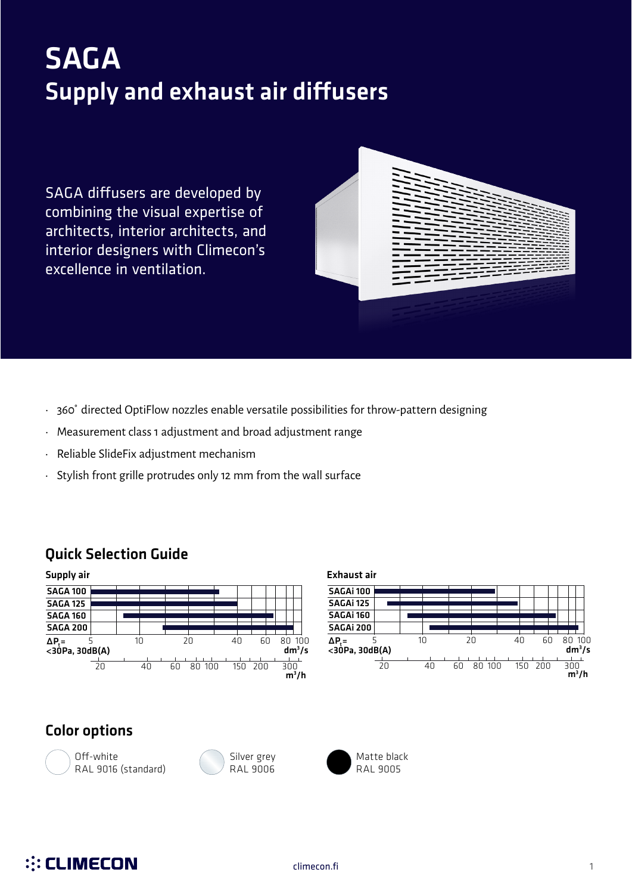# SAGA Supply and exhaust air diffusers

SAGA diffusers are developed by combining the visual expertise of architects, interior architects, and interior designers with Climecon's excellence in ventilation.



- 360˚ directed OptiFlow nozzles enable versatile possibilities for throw-pattern designing
- Measurement class 1 adjustment and broad adjustment range
- Reliable SlideFix adjustment mechanism
- Stylish front grille protrudes only 12 mm from the wall surface

### Quick Selection Guide



| Exhaust air                        |    |              |     |     |                    |
|------------------------------------|----|--------------|-----|-----|--------------------|
| SAGAi 100                          |    |              |     |     |                    |
| SAGAi 125                          |    |              |     |     |                    |
| SAGAi 160                          |    |              |     |     |                    |
| SAGAi 200                          |    |              |     |     |                    |
| $\Delta P_t = 5$<br><30Pa, 30dB(A) | 10 | 20           | 40  | 60  | 80 100<br>$dm^3/s$ |
| 20                                 | 40 | 80 100<br>ĥΠ | 150 | 200 | 300<br>$m^3/h$     |

### Color options







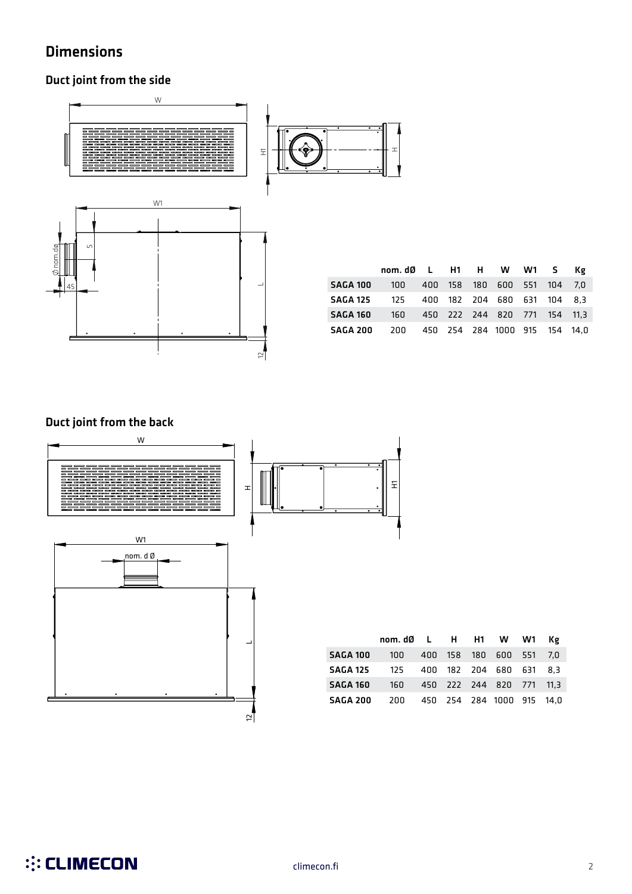### Dimensions

### Duct joint from the side



|                 | nom.dØ L H1 H W W1 S Kg |  |                               |  |      |
|-----------------|-------------------------|--|-------------------------------|--|------|
| <b>SAGA 100</b> | 100                     |  | 400 158 180 600 551 104       |  | .7.N |
| <b>SAGA 125</b> | 125                     |  | 400 182 204 680 631 104 8.3   |  |      |
| <b>SAGA 160</b> | 160                     |  | 450 222 244 820 771 154 11,3  |  |      |
| <b>SAGA 200</b> | 200                     |  | 450 254 284 1000 915 154 14.0 |  |      |

### .<br>160 ....<br>...  $\overline{41}$  $\ddot{\phantom{1}}$ SAGA 160 Duct joint from the back



|                 | nom.dØ L H H1 W W1 Kg |  |                           |  |
|-----------------|-----------------------|--|---------------------------|--|
| SAGA 100        | 100                   |  | 400 158 180 600 551 7,0   |  |
| <b>SAGA 125</b> | 125                   |  | 400 182 204 680 631 8.3   |  |
| SAGA 160        | - 160                 |  | 450 222 244 820 771 11.3  |  |
| SAGA 200        | 200                   |  | 450 254 284 1000 915 14,0 |  |

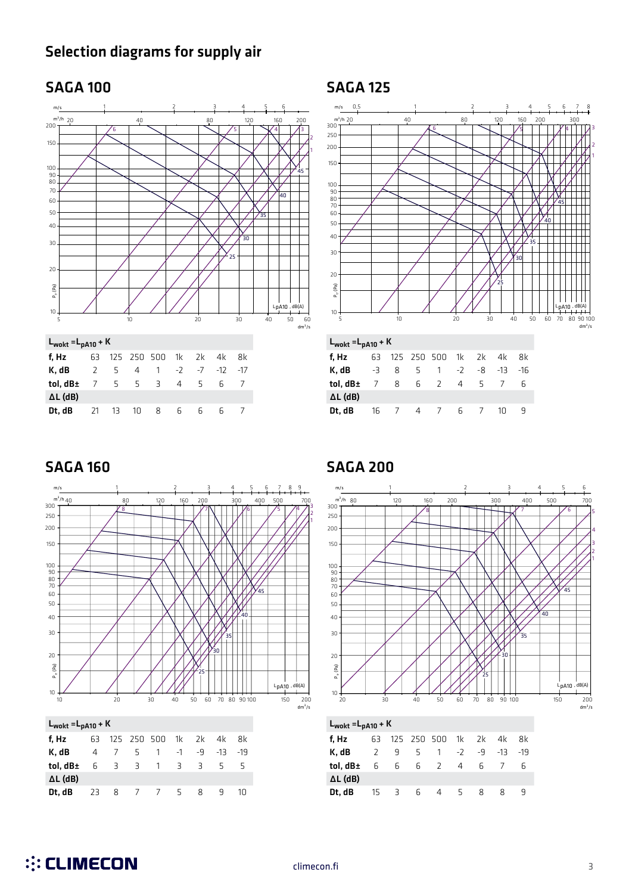### Selection diagrams for supply air

### SAGA 100 SAGA 125





 $L_{\text{wokt}} = L_{\text{pA10}} + K$ 

| WUKL            | <b>PHIU</b> |                |   |                |                |                |     |     |
|-----------------|-------------|----------------|---|----------------|----------------|----------------|-----|-----|
| f, Hz           | 63          |                |   | 125 250 500    | 1k             | 2k             | 4k  | 8k  |
| K. dB           | $-3$        | 8              | 5 | $\overline{1}$ | $-2$           | -8             | -13 | -16 |
| tol, dB±        | 7           | 8              |   | 6 2            | $\overline{4}$ | -5             |     | h   |
| $\Delta L$ (dB) |             |                |   |                |                |                |     |     |
| Dt, dB          | 16          | $\overline{7}$ |   | 4 7            | 6              | $\overline{7}$ | 1Π  |     |

### SAGA 160 SAGA 200



Dt, dB 23 8 7 7 5 8 9 10



Dt, dB 15 3 6 4 5 8 8 9

∆L (dB)

∆L (dB)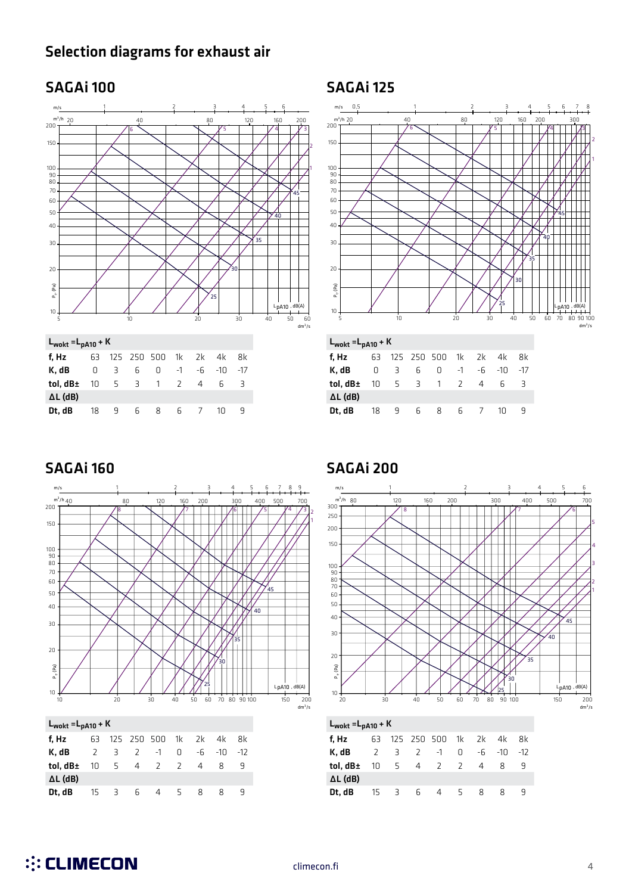### Selection diagrams for exhaust air

### SAGAi 100 SAGAi 125





 $L_{\text{wokt}} = L_{\text{pA10}} + K$ 

| $-WUKL - PHU$   |        |     |   |                      |      |                |          |       |
|-----------------|--------|-----|---|----------------------|------|----------------|----------|-------|
| f, Hz           |        |     |   | 63 125 250 500 1k 2k |      |                | 4k 8k    |       |
| K, dB           | $\Box$ | 3 6 |   | $\Omega$             | $-1$ |                | -6 -10   | $-17$ |
| tol, dB±        | 10     |     |   | 5 3 1 2              |      | $\overline{4}$ | -6       | - 3   |
| $\Delta L$ (dB) |        |     |   |                      |      |                |          |       |
| Dt. dB          | 18     | - 9 | 6 | 8                    |      | 6 7            | $1 \cap$ |       |

**::: CLIMECON** 



### SAGAi 160 SAGAi 200



Dt, dB 15 3 6 4 5 8 8 9

∆L (dB)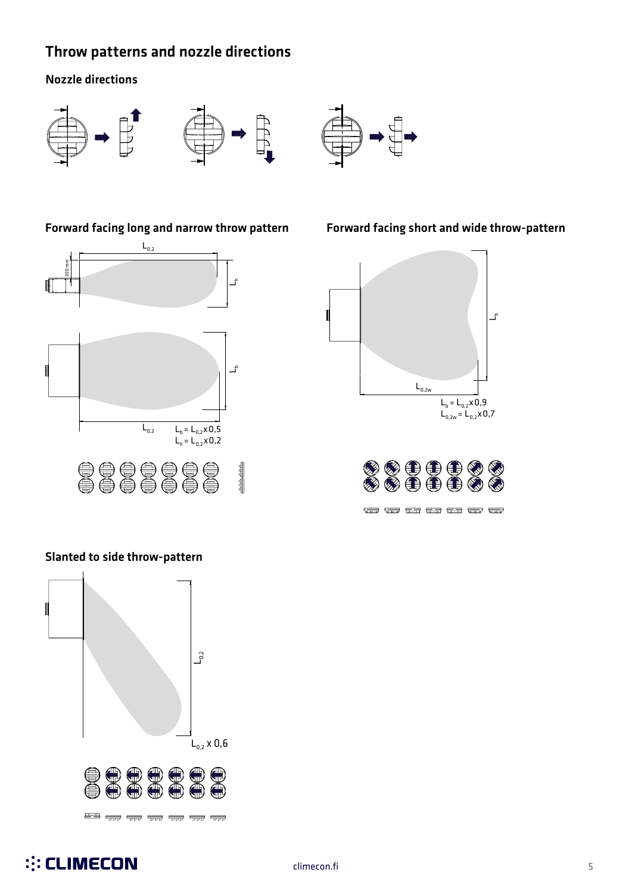### Throw patterns and nozzle directions

### Nozzle directions





 $L_{0,2}$  300 mm  $\ddot{\tau}$ L<br>Lh Ĵ  $L_{0.2}$  $L_b = L_{0,2} \times 0,5$ l<br>|<br>|  $L_h = L_{0,2} \times 0.2$ 0000000  $\frac{\text{max}}{\text{max}}$ 

### Slanted to side throw-pattern



Forward facing long and narrow throw pattern Forward facing short and wide throw-pattern